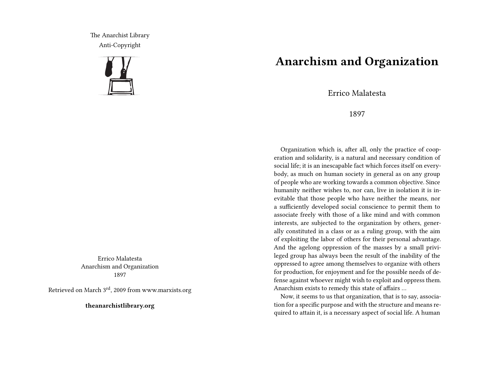The Anarchist Library Anti-Copyright



Errico Malatesta Anarchism and Organization 1897

Retrieved on March 3rd, 2009 from www.marxists.org

**theanarchistlibrary.org**

## **Anarchism and Organization**

Errico Malatesta

1897

Organization which is, after all, only the practice of cooperation and solidarity, is a natural and necessary condition of social life; it is an inescapable fact which forces itself on everybody, as much on human society in general as on any group of people who are working towards a common objective. Since humanity neither wishes to, nor can, live in isolation it is inevitable that those people who have neither the means, nor a sufficiently developed social conscience to permit them to associate freely with those of a like mind and with common interests, are subjected to the organization by others, generally constituted in a class or as a ruling group, with the aim of exploiting the labor of others for their personal advantage. And the agelong oppression of the masses by a small privileged group has always been the result of the inability of the oppressed to agree among themselves to organize with others for production, for enjoyment and for the possible needs of defense against whoever might wish to exploit and oppress them. Anarchism exists to remedy this state of affairs …

Now, it seems to us that organization, that is to say, association for a specific purpose and with the structure and means required to attain it, is a necessary aspect of social life. A human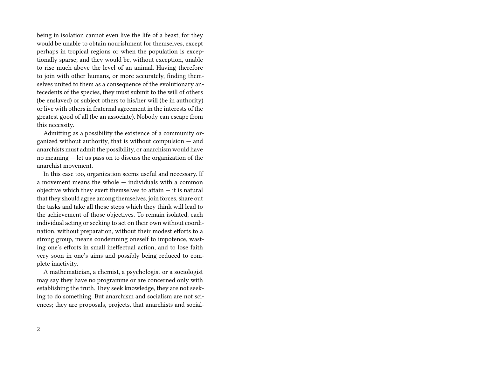being in isolation cannot even live the life of a beast, for they would be unable to obtain nourishment for themselves, except perhaps in tropical regions or when the population is exceptionally sparse; and they would be, without exception, unable to rise much above the level of an animal. Having therefore to join with other humans, or more accurately, finding themselves united to them as a consequence of the evolutionary antecedents of the species, they must submit to the will of others (be enslaved) or subject others to his/her will (be in authority) or live with others in fraternal agreement in the interests of the greatest good of all (be an associate). Nobody can escape from this necessity.

Admitting as a possibility the existence of a community organized without authority, that is without compulsion — and anarchists must admit the possibility, or anarchism would have no meaning — let us pass on to discuss the organization of the anarchist movement.

In this case too, organization seems useful and necessary. If a movement means the whole — individuals with a common objective which they exert themselves to attain  $-$  it is natural that they should agree among themselves, join forces, share out the tasks and take all those steps which they think will lead to the achievement of those objectives. To remain isolated, each individual acting or seeking to act on their own without coordination, without preparation, without their modest efforts to a strong group, means condemning oneself to impotence, wasting one's efforts in small ineffectual action, and to lose faith very soon in one's aims and possibly being reduced to complete inactivity.

A mathematician, a chemist, a psychologist or a sociologist may say they have no programme or are concerned only with establishing the truth. They seek knowledge, they are not seeking to do something. But anarchism and socialism are not sciences; they are proposals, projects, that anarchists and social-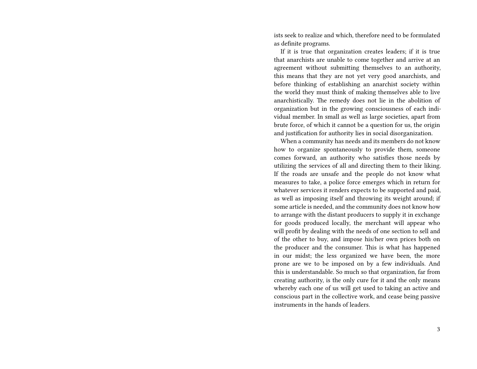ists seek to realize and which, therefore need to be formulated as definite programs.

If it is true that organization creates leaders; if it is true that anarchists are unable to come together and arrive at an agreement without submitting themselves to an authority, this means that they are not yet very good anarchists, and before thinking of establishing an anarchist society within the world they must think of making themselves able to live anarchistically. The remedy does not lie in the abolition of organization but in the growing consciousness of each individual member. In small as well as large societies, apart from brute force, of which it cannot be a question for us, the origin and justification for authority lies in social disorganization.

When a community has needs and its members do not know how to organize spontaneously to provide them, someone comes forward, an authority who satisfies those needs by utilizing the services of all and directing them to their liking. If the roads are unsafe and the people do not know what measures to take, a police force emerges which in return for whatever services it renders expects to be supported and paid, as well as imposing itself and throwing its weight around; if some article is needed, and the community does not know how to arrange with the distant producers to supply it in exchange for goods produced locally, the merchant will appear who will profit by dealing with the needs of one section to sell and of the other to buy, and impose his/her own prices both on the producer and the consumer. This is what has happened in our midst; the less organized we have been, the more prone are we to be imposed on by a few individuals. And this is understandable. So much so that organization, far from creating authority, is the only cure for it and the only means whereby each one of us will get used to taking an active and conscious part in the collective work, and cease being passive instruments in the hands of leaders.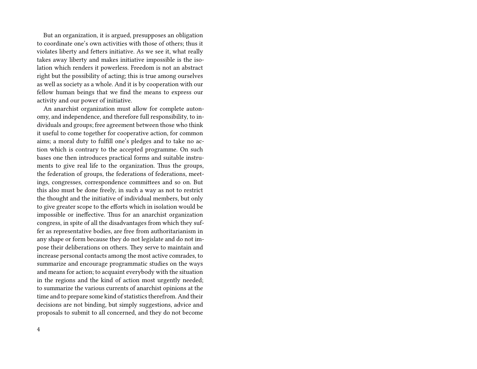But an organization, it is argued, presupposes an obligation to coordinate one's own activities with those of others; thus it violates liberty and fetters initiative. As we see it, what really takes away liberty and makes initiative impossible is the isolation which renders it powerless. Freedom is not an abstract right but the possibility of acting; this is true among ourselves as well as society as a whole. And it is by cooperation with our fellow human beings that we find the means to express our activity and our power of initiative.

An anarchist organization must allow for complete autonomy, and independence, and therefore full responsibility, to individuals and groups; free agreement between those who think it useful to come together for cooperative action, for common aims; a moral duty to fulfill one's pledges and to take no action which is contrary to the accepted programme. On such bases one then introduces practical forms and suitable instruments to give real life to the organization. Thus the groups, the federation of groups, the federations of federations, meetings, congresses, correspondence committees and so on. But this also must be done freely, in such a way as not to restrict the thought and the initiative of individual members, but only to give greater scope to the efforts which in isolation would be impossible or ineffective. Thus for an anarchist organization congress, in spite of all the disadvantages from which they suffer as representative bodies, are free from authoritarianism in any shape or form because they do not legislate and do not impose their deliberations on others. They serve to maintain and increase personal contacts among the most active comrades, to summarize and encourage programmatic studies on the ways and means for action; to acquaint everybody with the situation in the regions and the kind of action most urgently needed; to summarize the various currents of anarchist opinions at the time and to prepare some kind of statistics therefrom. And their decisions are not binding, but simply suggestions, advice and proposals to submit to all concerned, and they do not become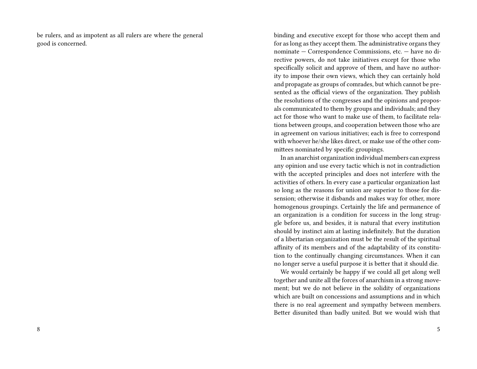be rulers, and as impotent as all rulers are where the general good is concerned.

binding and executive except for those who accept them and for as long as they accept them. The administrative organs they nominate — Correspondence Commissions, etc. — have no directive powers, do not take initiatives except for those who specifically solicit and approve of them, and have no authority to impose their own views, which they can certainly hold and propagate as groups of comrades, but which cannot be presented as the official views of the organization. They publish the resolutions of the congresses and the opinions and proposals communicated to them by groups and individuals; and they act for those who want to make use of them, to facilitate relations between groups, and cooperation between those who are in agreement on various initiatives; each is free to correspond with whoever he/she likes direct, or make use of the other committees nominated by specific groupings.

In an anarchist organization individual members can express any opinion and use every tactic which is not in contradiction with the accepted principles and does not interfere with the activities of others. In every case a particular organization last so long as the reasons for union are superior to those for dissension; otherwise it disbands and makes way for other, more homogenous groupings. Certainly the life and permanence of an organization is a condition for success in the long struggle before us, and besides, it is natural that every institution should by instinct aim at lasting indefinitely. But the duration of a libertarian organization must be the result of the spiritual affinity of its members and of the adaptability of its constitution to the continually changing circumstances. When it can no longer serve a useful purpose it is better that it should die.

We would certainly be happy if we could all get along well together and unite all the forces of anarchism in a strong movement; but we do not believe in the solidity of organizations which are built on concessions and assumptions and in which there is no real agreement and sympathy between members. Better disunited than badly united. But we would wish that